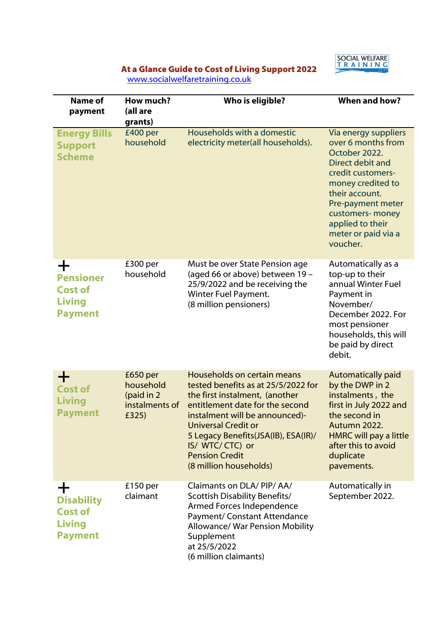

## At a Glance Guide to Cost of Living Support 2022

www.socialwelfaretraining.co.uk

| Name of<br>payment                                                          | How much?<br>(all are<br>grants)                               | Who is eligible?                                                                                                                                                                                                                                                                                                         | <b>When and how?</b>                                                                                                                                                                                                                        |
|-----------------------------------------------------------------------------|----------------------------------------------------------------|--------------------------------------------------------------------------------------------------------------------------------------------------------------------------------------------------------------------------------------------------------------------------------------------------------------------------|---------------------------------------------------------------------------------------------------------------------------------------------------------------------------------------------------------------------------------------------|
| <b>Energy Bills</b><br><b>Support</b><br><b>Scheme</b>                      | £400 per<br>household                                          | Households with a domestic<br>electricity meter(all households).                                                                                                                                                                                                                                                         | Via energy suppliers<br>over 6 months from<br>October 2022.<br>Direct debit and<br>credit customers-<br>money credited to<br>their account.<br>Pre-payment meter<br>customers- money<br>applied to their<br>meter or paid via a<br>voucher. |
| ┿<br><b>Pensioner</b><br><b>Cost of</b><br><b>Living</b><br><b>Payment</b>  | £300 per<br>household                                          | Must be over State Pension age<br>(aged 66 or above) between 19 -<br>25/9/2022 and be receiving the<br>Winter Fuel Payment.<br>(8 million pensioners)                                                                                                                                                                    | Automatically as a<br>top-up to their<br>annual Winter Fuel<br>Payment in<br>November/<br>December 2022. For<br>most pensioner<br>households, this will<br>be paid by direct<br>debit.                                                      |
| ┿<br><b>Cost of</b><br><b>Living</b><br><b>Payment</b>                      | £650 per<br>household<br>(paid in 2<br>instalments of<br>£325) | Households on certain means<br>tested benefits as at 25/5/2022 for<br>the first instalment, (another<br>entitlement date for the second<br>instalment will be announced)-<br><b>Universal Credit or</b><br>5 Legacy Benefits (JSA (IB), ESA (IR)/<br>IS/ WTC/ CTC) or<br><b>Pension Credit</b><br>(8 million households) | <b>Automatically paid</b><br>by the DWP in 2<br>instalments, the<br>first in July 2022 and<br>the second in<br>Autumn 2022.<br><b>HMRC will pay a little</b><br>after this to avoid<br>duplicate<br>pavements.                              |
| ╈<br><b>Disability</b><br><b>Cost of</b><br><b>Living</b><br><b>Payment</b> | $£150$ per<br>claimant                                         | Claimants on DLA/PIP/AA/<br><b>Scottish Disability Benefits/</b><br>Armed Forces Independence<br><b>Payment/ Constant Attendance</b><br><b>Allowance/ War Pension Mobility</b><br>Supplement<br>at 25/5/2022<br>(6 million claimants)                                                                                    | Automatically in<br>September 2022.                                                                                                                                                                                                         |